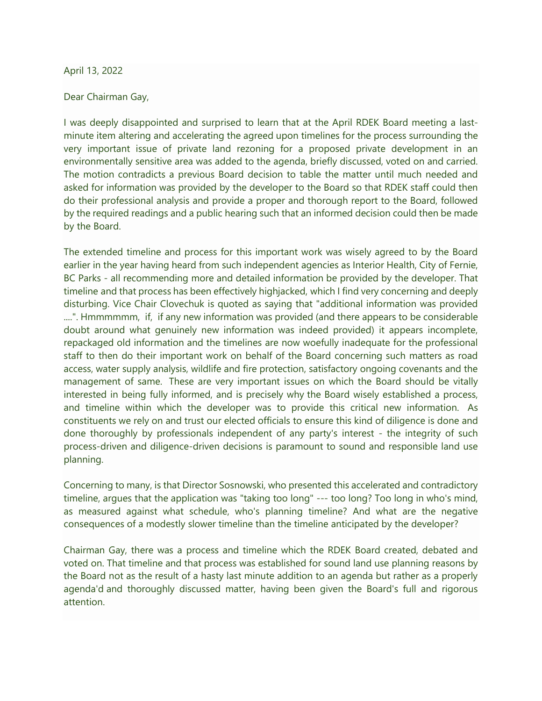## April 13, 2022

## Dear Chairman Gay,

I was deeply disappointed and surprised to learn that at the April RDEK Board meeting a lastminute item altering and accelerating the agreed upon timelines for the process surrounding the very important issue of private land rezoning for a proposed private development in an environmentally sensitive area was added to the agenda, briefly discussed, voted on and carried. The motion contradicts a previous Board decision to table the matter until much needed and asked for information was provided by the developer to the Board so that RDEK staff could then do their professional analysis and provide a proper and thorough report to the Board, followed by the required readings and a public hearing such that an informed decision could then be made by the Board.

The extended timeline and process for this important work was wisely agreed to by the Board earlier in the year having heard from such independent agencies as Interior Health, City of Fernie, BC Parks - all recommending more and detailed information be provided by the developer. That timeline and that process has been effectively highjacked, which I find very concerning and deeply disturbing. Vice Chair Clovechuk is quoted as saying that "additional information was provided ....". Hmmmmmm, if, if any new information was provided (and there appears to be considerable doubt around what genuinely new information was indeed provided) it appears incomplete, repackaged old information and the timelines are now woefully inadequate for the professional staff to then do their important work on behalf of the Board concerning such matters as road access, water supply analysis, wildlife and fire protection, satisfactory ongoing covenants and the management of same. These are very important issues on which the Board should be vitally interested in being fully informed, and is precisely why the Board wisely established a process, and timeline within which the developer was to provide this critical new information. As constituents we rely on and trust our elected officials to ensure this kind of diligence is done and done thoroughly by professionals independent of any party's interest - the integrity of such process-driven and diligence-driven decisions is paramount to sound and responsible land use planning.

Concerning to many, is that Director Sosnowski, who presented this accelerated and contradictory timeline, argues that the application was "taking too long" --- too long? Too long in who's mind, as measured against what schedule, who's planning timeline? And what are the negative consequences of a modestly slower timeline than the timeline anticipated by the developer?

Chairman Gay, there was a process and timeline which the RDEK Board created, debated and voted on. That timeline and that process was established for sound land use planning reasons by the Board not as the result of a hasty last minute addition to an agenda but rather as a properly agenda'd and thoroughly discussed matter, having been given the Board's full and rigorous attention.